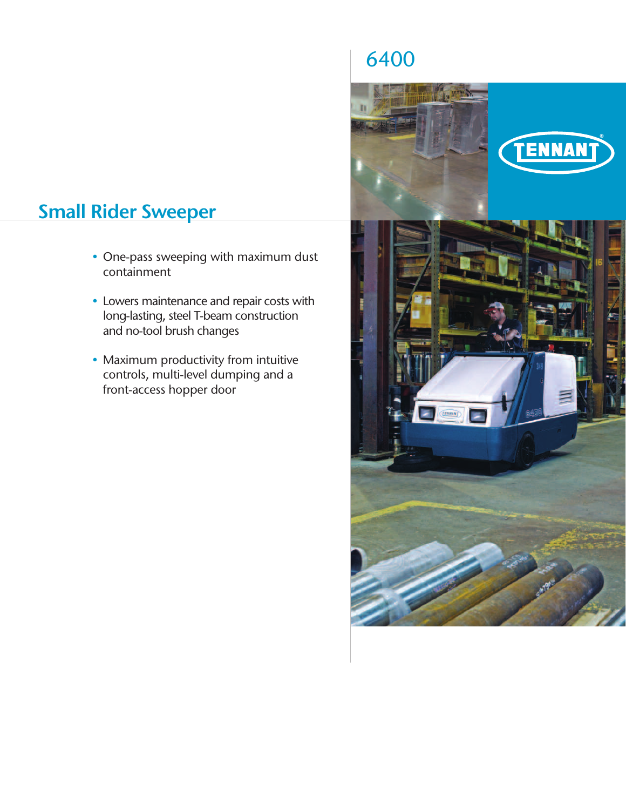# **Small Rider Sweeper**

- One-pass sweeping with maximum dust containment
- Lowers maintenance and repair costs with long-lasting, steel T-beam construction and no-tool brush changes
- Maximum productivity from intuitive controls, multi-level dumping and a front-access hopper door

# 6400

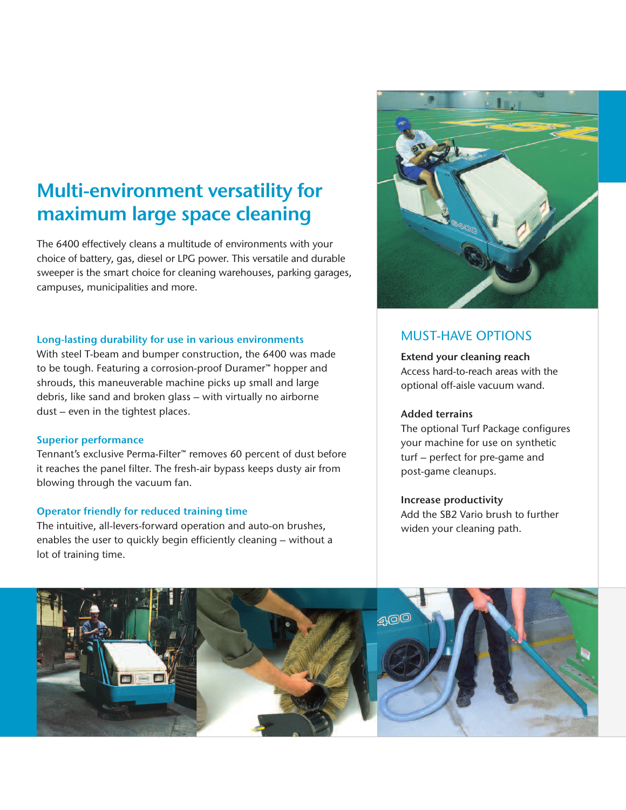## **Multi-environment versatility for maximum large space cleaning**

The 6400 effectively cleans a multitude of environments with your choice of battery, gas, diesel or LPG power. This versatile and durable sweeper is the smart choice for cleaning warehouses, parking garages, campuses, municipalities and more.

#### **Long-lasting durability for use in various environments**

With steel T-beam and bumper construction, the 6400 was made to be tough. Featuring a corrosion-proof Duramer™ hopper and shrouds, this maneuverable machine picks up small and large debris, like sand and broken glass – with virtually no airborne dust – even in the tightest places.

#### **Superior performance**

Tennant's exclusive Perma-Filter™ removes 60 percent of dust before it reaches the panel filter. The fresh-air bypass keeps dusty air from blowing through the vacuum fan.

### **Operator friendly for reduced training time**

The intuitive, all-levers-forward operation and auto-on brushes, enables the user to quickly begin efficiently cleaning – without a lot of training time.



### MUST-HAVE OPTIONS

**Extend your cleaning reach** Access hard-to-reach areas with the optional off-aisle vacuum wand.

#### **Added terrains**

The optional Turf Package configures your machine for use on synthetic turf – perfect for pre-game and post-game cleanups.

### **Increase productivity**

Add the SB2 Vario brush to further widen your cleaning path.

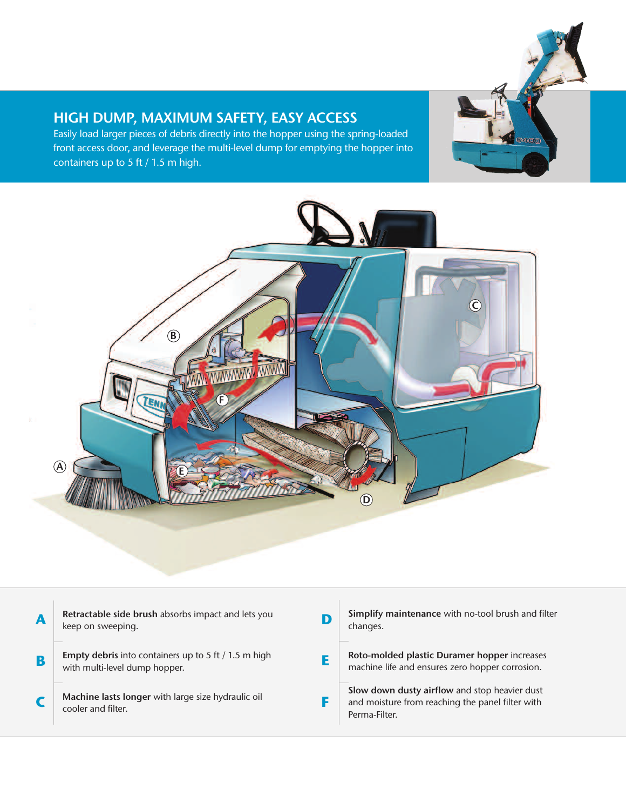### **HIGH DUMP, MAXIMUM SAFETY, EASY ACCESS**

Easily load larger pieces of debris directly into the hopper using the spring-loaded front access door, and leverage the multi-level dump for emptying the hopper into containers up to 5 ft / 1.5 m high.





| A | Retractable side brush absorbs impact and lets you<br>keep on sweeping.                      | Simplify maintenance with no-tool brush and filter<br>changes.                                                     |
|---|----------------------------------------------------------------------------------------------|--------------------------------------------------------------------------------------------------------------------|
| B | <b>Empty debris</b> into containers up to 5 ft / 1.5 m high<br>with multi-level dump hopper. | Roto-molded plastic Duramer hopper increases<br>machine life and ensures zero hopper corrosion.                    |
|   | Machine lasts longer with large size hydraulic oil<br>cooler and filter.                     | Slow down dusty airflow and stop heavier dust<br>and moisture from reaching the panel filter with<br>Perma-Filter. |